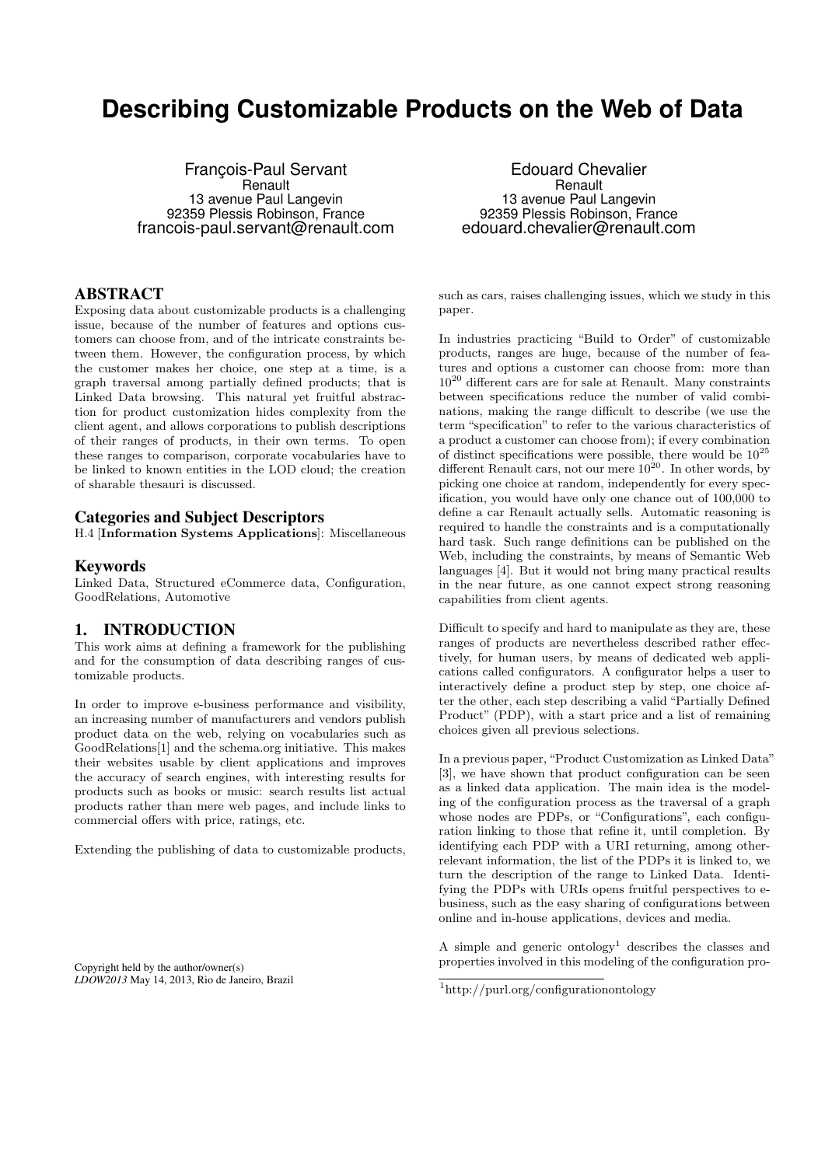# **Describing Customizable Products on the Web of Data**

François-Paul Servant **Renault** 13 avenue Paul Langevin 92359 Plessis Robinson, France francois-paul.servant@renault.com

### ABSTRACT

Exposing data about customizable products is a challenging issue, because of the number of features and options customers can choose from, and of the intricate constraints between them. However, the configuration process, by which the customer makes her choice, one step at a time, is a graph traversal among partially defined products; that is Linked Data browsing. This natural yet fruitful abstraction for product customization hides complexity from the client agent, and allows corporations to publish descriptions of their ranges of products, in their own terms. To open these ranges to comparison, corporate vocabularies have to be linked to known entities in the LOD cloud; the creation of sharable thesauri is discussed.

#### Categories and Subject Descriptors

H.4 [Information Systems Applications]: Miscellaneous

#### Keywords

Linked Data, Structured eCommerce data, Configuration, GoodRelations, Automotive

## 1. INTRODUCTION

This work aims at defining a framework for the publishing and for the consumption of data describing ranges of customizable products.

In order to improve e-business performance and visibility, an increasing number of manufacturers and vendors publish product data on the web, relying on vocabularies such as GoodRelations[1] and the schema.org initiative. This makes their websites usable by client applications and improves the accuracy of search engines, with interesting results for products such as books or music: search results list actual products rather than mere web pages, and include links to commercial offers with price, ratings, etc.

Extending the publishing of data to customizable products,

Copyright held by the author/owner(s) *LDOW2013* May 14, 2013, Rio de Janeiro, Brazil

Edouard Chevalier **Renault** 13 avenue Paul Langevin 92359 Plessis Robinson, France edouard.chevalier@renault.com

such as cars, raises challenging issues, which we study in this paper.

In industries practicing "Build to Order" of customizable products, ranges are huge, because of the number of features and options a customer can choose from: more than  $10^{20}$  different cars are for sale at Renault. Many constraints between specifications reduce the number of valid combinations, making the range difficult to describe (we use the term "specification" to refer to the various characteristics of a product a customer can choose from); if every combination of distinct specifications were possible, there would be  $10^{25}$ different Renault cars, not our mere  $10^{20}$ . In other words, by picking one choice at random, independently for every specification, you would have only one chance out of 100,000 to define a car Renault actually sells. Automatic reasoning is required to handle the constraints and is a computationally hard task. Such range definitions can be published on the Web, including the constraints, by means of Semantic Web languages [4]. But it would not bring many practical results in the near future, as one cannot expect strong reasoning capabilities from client agents.

Difficult to specify and hard to manipulate as they are, these ranges of products are nevertheless described rather effectively, for human users, by means of dedicated web applications called configurators. A configurator helps a user to interactively define a product step by step, one choice after the other, each step describing a valid "Partially Defined Product" (PDP), with a start price and a list of remaining choices given all previous selections.

In a previous paper, "Product Customization as Linked Data" [3], we have shown that product configuration can be seen as a linked data application. The main idea is the modeling of the configuration process as the traversal of a graph whose nodes are PDPs, or "Configurations", each configuration linking to those that refine it, until completion. By identifying each PDP with a URI returning, among otherrelevant information, the list of the PDPs it is linked to, we turn the description of the range to Linked Data. Identifying the PDPs with URIs opens fruitful perspectives to ebusiness, such as the easy sharing of configurations between online and in-house applications, devices and media.

A simple and generic ontology<sup>1</sup> describes the classes and properties involved in this modeling of the configuration pro-

<sup>1</sup>http://purl.org/configurationontology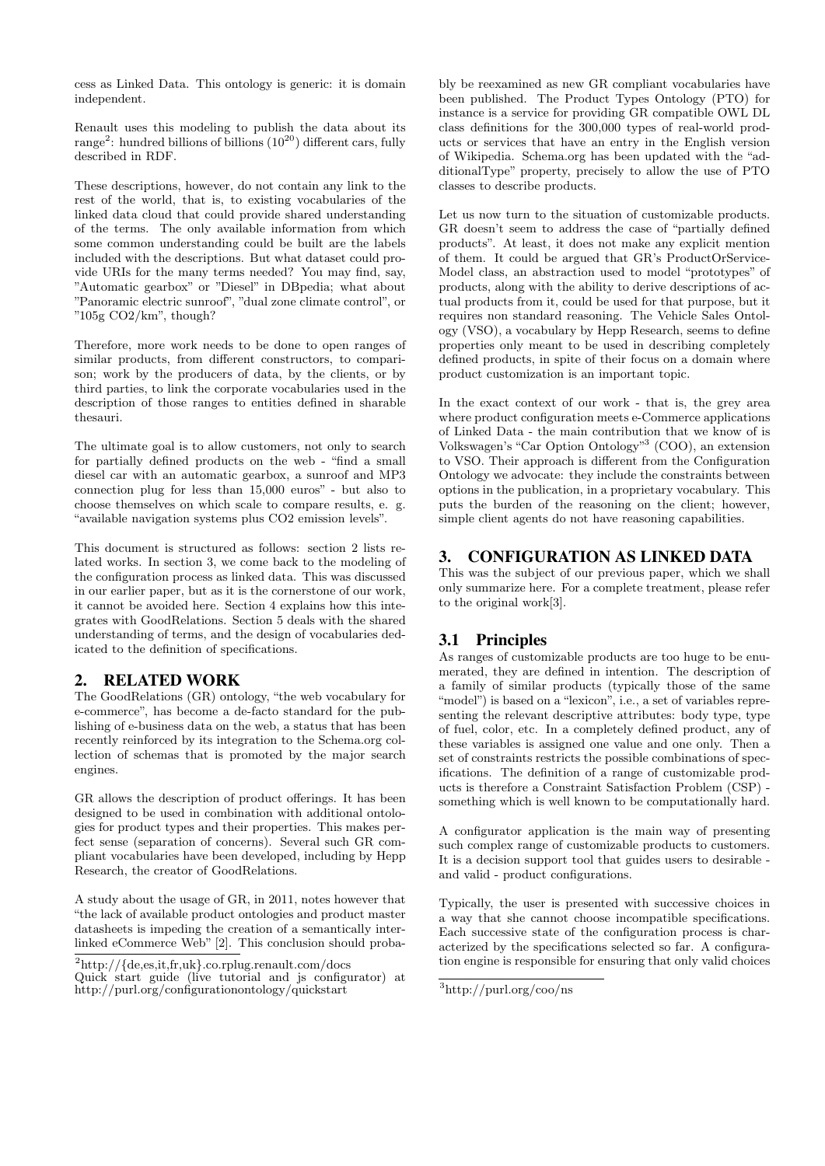cess as Linked Data. This ontology is generic: it is domain independent.

Renault uses this modeling to publish the data about its range<sup>2</sup>: hundred billions of billions  $(10^{20})$  different cars, fully described in RDF.

These descriptions, however, do not contain any link to the rest of the world, that is, to existing vocabularies of the linked data cloud that could provide shared understanding of the terms. The only available information from which some common understanding could be built are the labels included with the descriptions. But what dataset could provide URIs for the many terms needed? You may find, say, "Automatic gearbox" or "Diesel" in DBpedia; what about "Panoramic electric sunroof", "dual zone climate control", or "105g CO2/km", though?

Therefore, more work needs to be done to open ranges of similar products, from different constructors, to comparison; work by the producers of data, by the clients, or by third parties, to link the corporate vocabularies used in the description of those ranges to entities defined in sharable thesauri.

The ultimate goal is to allow customers, not only to search for partially defined products on the web - "find a small diesel car with an automatic gearbox, a sunroof and MP3 connection plug for less than 15,000 euros" - but also to choose themselves on which scale to compare results, e. g. "available navigation systems plus CO2 emission levels".

This document is structured as follows: section 2 lists related works. In section 3, we come back to the modeling of the configuration process as linked data. This was discussed in our earlier paper, but as it is the cornerstone of our work, it cannot be avoided here. Section 4 explains how this integrates with GoodRelations. Section 5 deals with the shared understanding of terms, and the design of vocabularies dedicated to the definition of specifications.

### 2. RELATED WORK

The GoodRelations (GR) ontology, "the web vocabulary for e-commerce", has become a de-facto standard for the publishing of e-business data on the web, a status that has been recently reinforced by its integration to the Schema.org collection of schemas that is promoted by the major search engines.

GR allows the description of product offerings. It has been designed to be used in combination with additional ontologies for product types and their properties. This makes perfect sense (separation of concerns). Several such GR compliant vocabularies have been developed, including by Hepp Research, the creator of GoodRelations.

A study about the usage of GR, in 2011, notes however that "the lack of available product ontologies and product master datasheets is impeding the creation of a semantically interlinked eCommerce Web" [2]. This conclusion should proba-

bly be reexamined as new GR compliant vocabularies have been published. The Product Types Ontology (PTO) for instance is a service for providing GR compatible OWL DL class definitions for the 300,000 types of real-world products or services that have an entry in the English version of Wikipedia. Schema.org has been updated with the "additionalType" property, precisely to allow the use of PTO classes to describe products.

Let us now turn to the situation of customizable products. GR doesn't seem to address the case of "partially defined products". At least, it does not make any explicit mention of them. It could be argued that GR's ProductOrService-Model class, an abstraction used to model "prototypes" of products, along with the ability to derive descriptions of actual products from it, could be used for that purpose, but it requires non standard reasoning. The Vehicle Sales Ontology (VSO), a vocabulary by Hepp Research, seems to define properties only meant to be used in describing completely defined products, in spite of their focus on a domain where product customization is an important topic.

In the exact context of our work - that is, the grey area where product configuration meets e-Commerce applications of Linked Data - the main contribution that we know of is Volkswagen's "Car Option Ontology"<sup>3</sup> (COO), an extension to VSO. Their approach is different from the Configuration Ontology we advocate: they include the constraints between options in the publication, in a proprietary vocabulary. This puts the burden of the reasoning on the client; however, simple client agents do not have reasoning capabilities.

# 3. CONFIGURATION AS LINKED DATA

This was the subject of our previous paper, which we shall only summarize here. For a complete treatment, please refer to the original work[3].

# 3.1 Principles

As ranges of customizable products are too huge to be enumerated, they are defined in intention. The description of a family of similar products (typically those of the same "model") is based on a "lexicon", i.e., a set of variables representing the relevant descriptive attributes: body type, type of fuel, color, etc. In a completely defined product, any of these variables is assigned one value and one only. Then a set of constraints restricts the possible combinations of specifications. The definition of a range of customizable products is therefore a Constraint Satisfaction Problem (CSP) something which is well known to be computationally hard.

A configurator application is the main way of presenting such complex range of customizable products to customers. It is a decision support tool that guides users to desirable and valid - product configurations.

Typically, the user is presented with successive choices in a way that she cannot choose incompatible specifications. Each successive state of the configuration process is characterized by the specifications selected so far. A configuration engine is responsible for ensuring that only valid choices

<sup>2</sup>http://{de,es,it,fr,uk}.co.rplug.renault.com/docs

Quick start guide (live tutorial and js configurator) at http://purl.org/configurationontology/quickstart

<sup>3</sup>http://purl.org/coo/ns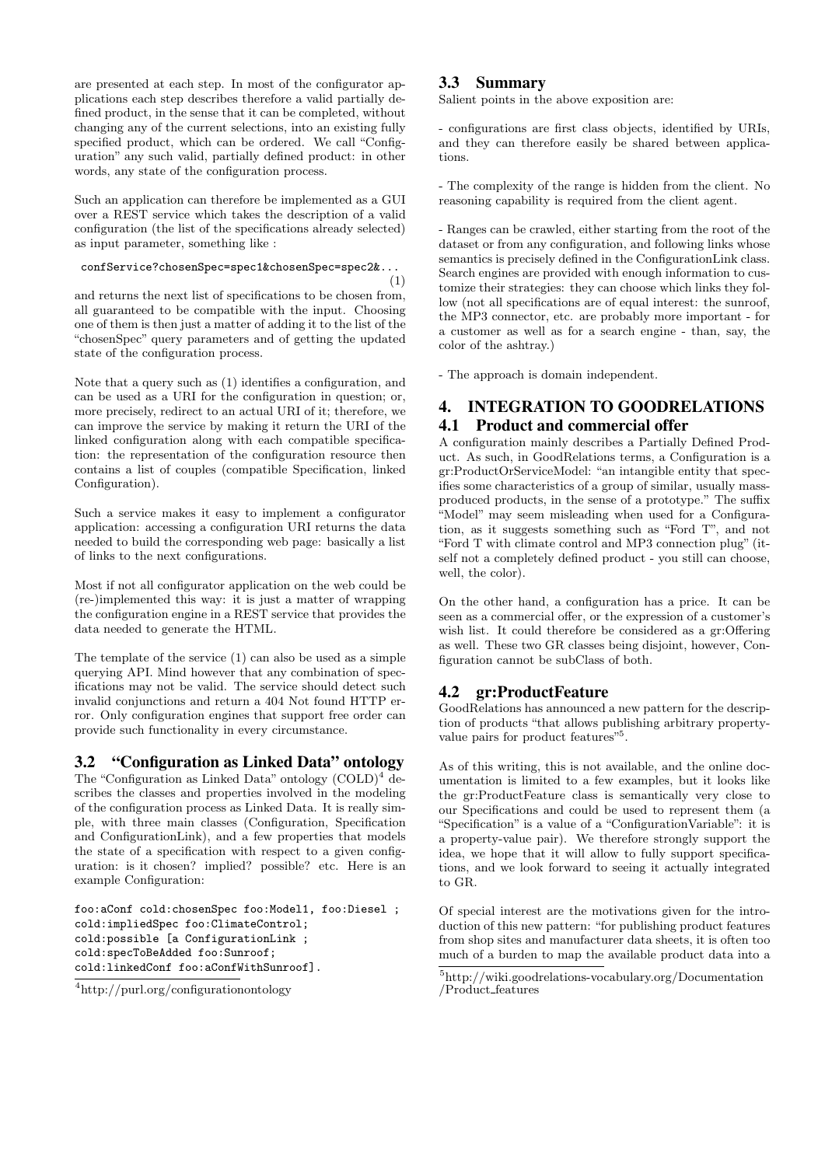are presented at each step. In most of the configurator applications each step describes therefore a valid partially defined product, in the sense that it can be completed, without changing any of the current selections, into an existing fully specified product, which can be ordered. We call "Configuration" any such valid, partially defined product: in other words, any state of the configuration process.

Such an application can therefore be implemented as a GUI over a REST service which takes the description of a valid configuration (the list of the specifications already selected) as input parameter, something like :

confService?chosenSpec=spec1&chosenSpec=spec2&...

(1) and returns the next list of specifications to be chosen from, all guaranteed to be compatible with the input. Choosing one of them is then just a matter of adding it to the list of the "chosenSpec" query parameters and of getting the updated state of the configuration process.

Note that a query such as (1) identifies a configuration, and can be used as a URI for the configuration in question; or, more precisely, redirect to an actual URI of it; therefore, we can improve the service by making it return the URI of the linked configuration along with each compatible specification: the representation of the configuration resource then contains a list of couples (compatible Specification, linked Configuration).

Such a service makes it easy to implement a configurator application: accessing a configuration URI returns the data needed to build the corresponding web page: basically a list of links to the next configurations.

Most if not all configurator application on the web could be (re-)implemented this way: it is just a matter of wrapping the configuration engine in a REST service that provides the data needed to generate the HTML.

The template of the service (1) can also be used as a simple querying API. Mind however that any combination of specifications may not be valid. The service should detect such invalid conjunctions and return a 404 Not found HTTP error. Only configuration engines that support free order can provide such functionality in every circumstance.

### 3.2 "Configuration as Linked Data" ontology

The "Configuration as Linked Data" ontology (COLD)<sup>4</sup> describes the classes and properties involved in the modeling of the configuration process as Linked Data. It is really simple, with three main classes (Configuration, Specification and ConfigurationLink), and a few properties that models the state of a specification with respect to a given configuration: is it chosen? implied? possible? etc. Here is an example Configuration:

foo:aConf cold:chosenSpec foo:Model1, foo:Diesel ; cold:impliedSpec foo:ClimateControl; cold:possible [a ConfigurationLink ; cold:specToBeAdded foo:Sunroof; cold:linkedConf foo:aConfWithSunroof].

#### 3.3 Summary

Salient points in the above exposition are:

- configurations are first class objects, identified by URIs, and they can therefore easily be shared between applications.

- The complexity of the range is hidden from the client. No reasoning capability is required from the client agent.

- Ranges can be crawled, either starting from the root of the dataset or from any configuration, and following links whose semantics is precisely defined in the ConfigurationLink class. Search engines are provided with enough information to customize their strategies: they can choose which links they follow (not all specifications are of equal interest: the sunroof, the MP3 connector, etc. are probably more important - for a customer as well as for a search engine - than, say, the color of the ashtray.)

- The approach is domain independent.

# 4. INTEGRATION TO GOODRELATIONS 4.1 Product and commercial offer

A configuration mainly describes a Partially Defined Product. As such, in GoodRelations terms, a Configuration is a gr:ProductOrServiceModel: "an intangible entity that specifies some characteristics of a group of similar, usually massproduced products, in the sense of a prototype." The suffix "Model" may seem misleading when used for a Configuration, as it suggests something such as "Ford T", and not "Ford T with climate control and MP3 connection plug" (itself not a completely defined product - you still can choose, well, the color).

On the other hand, a configuration has a price. It can be seen as a commercial offer, or the expression of a customer's wish list. It could therefore be considered as a gr:Offering as well. These two GR classes being disjoint, however, Configuration cannot be subClass of both.

# 4.2 gr:ProductFeature

GoodRelations has announced a new pattern for the description of products "that allows publishing arbitrary propertyvalue pairs for product features"<sup>5</sup>.

As of this writing, this is not available, and the online documentation is limited to a few examples, but it looks like the gr:ProductFeature class is semantically very close to our Specifications and could be used to represent them (a "Specification" is a value of a "ConfigurationVariable": it is a property-value pair). We therefore strongly support the idea, we hope that it will allow to fully support specifications, and we look forward to seeing it actually integrated to GR.

Of special interest are the motivations given for the introduction of this new pattern: "for publishing product features from shop sites and manufacturer data sheets, it is often too much of a burden to map the available product data into a

<sup>4</sup>http://purl.org/configurationontology

<sup>5</sup>http://wiki.goodrelations-vocabulary.org/Documentation /Product features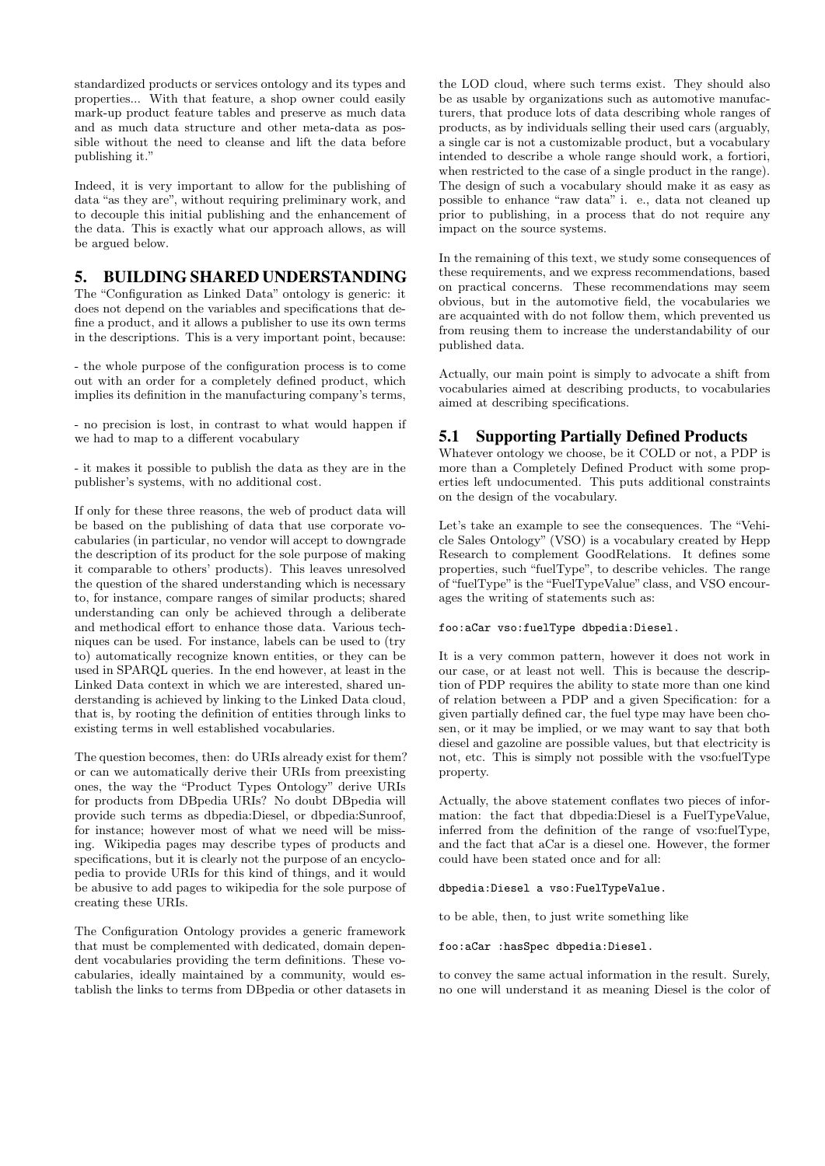standardized products or services ontology and its types and properties... With that feature, a shop owner could easily mark-up product feature tables and preserve as much data and as much data structure and other meta-data as possible without the need to cleanse and lift the data before publishing it."

Indeed, it is very important to allow for the publishing of data "as they are", without requiring preliminary work, and to decouple this initial publishing and the enhancement of the data. This is exactly what our approach allows, as will be argued below.

## 5. BUILDING SHARED UNDERSTANDING

The "Configuration as Linked Data" ontology is generic: it does not depend on the variables and specifications that define a product, and it allows a publisher to use its own terms in the descriptions. This is a very important point, because:

- the whole purpose of the configuration process is to come out with an order for a completely defined product, which implies its definition in the manufacturing company's terms,

- no precision is lost, in contrast to what would happen if we had to map to a different vocabulary

- it makes it possible to publish the data as they are in the publisher's systems, with no additional cost.

If only for these three reasons, the web of product data will be based on the publishing of data that use corporate vocabularies (in particular, no vendor will accept to downgrade the description of its product for the sole purpose of making it comparable to others' products). This leaves unresolved the question of the shared understanding which is necessary to, for instance, compare ranges of similar products; shared understanding can only be achieved through a deliberate and methodical effort to enhance those data. Various techniques can be used. For instance, labels can be used to (try to) automatically recognize known entities, or they can be used in SPARQL queries. In the end however, at least in the Linked Data context in which we are interested, shared understanding is achieved by linking to the Linked Data cloud, that is, by rooting the definition of entities through links to existing terms in well established vocabularies.

The question becomes, then: do URIs already exist for them? or can we automatically derive their URIs from preexisting ones, the way the "Product Types Ontology" derive URIs for products from DBpedia URIs? No doubt DBpedia will provide such terms as dbpedia:Diesel, or dbpedia:Sunroof, for instance; however most of what we need will be missing. Wikipedia pages may describe types of products and specifications, but it is clearly not the purpose of an encyclopedia to provide URIs for this kind of things, and it would be abusive to add pages to wikipedia for the sole purpose of creating these URIs.

The Configuration Ontology provides a generic framework that must be complemented with dedicated, domain dependent vocabularies providing the term definitions. These vocabularies, ideally maintained by a community, would establish the links to terms from DBpedia or other datasets in

the LOD cloud, where such terms exist. They should also be as usable by organizations such as automotive manufacturers, that produce lots of data describing whole ranges of products, as by individuals selling their used cars (arguably, a single car is not a customizable product, but a vocabulary intended to describe a whole range should work, a fortiori, when restricted to the case of a single product in the range). The design of such a vocabulary should make it as easy as possible to enhance "raw data" i. e., data not cleaned up prior to publishing, in a process that do not require any impact on the source systems.

In the remaining of this text, we study some consequences of these requirements, and we express recommendations, based on practical concerns. These recommendations may seem obvious, but in the automotive field, the vocabularies we are acquainted with do not follow them, which prevented us from reusing them to increase the understandability of our published data.

Actually, our main point is simply to advocate a shift from vocabularies aimed at describing products, to vocabularies aimed at describing specifications.

### 5.1 Supporting Partially Defined Products

Whatever ontology we choose, be it COLD or not, a PDP is more than a Completely Defined Product with some properties left undocumented. This puts additional constraints on the design of the vocabulary.

Let's take an example to see the consequences. The "Vehicle Sales Ontology" (VSO) is a vocabulary created by Hepp Research to complement GoodRelations. It defines some properties, such "fuelType", to describe vehicles. The range of "fuelType"is the "FuelTypeValue" class, and VSO encourages the writing of statements such as:

#### foo:aCar vso:fuelType dbpedia:Diesel.

It is a very common pattern, however it does not work in our case, or at least not well. This is because the description of PDP requires the ability to state more than one kind of relation between a PDP and a given Specification: for a given partially defined car, the fuel type may have been chosen, or it may be implied, or we may want to say that both diesel and gazoline are possible values, but that electricity is not, etc. This is simply not possible with the vso:fuelType property.

Actually, the above statement conflates two pieces of information: the fact that dbpedia:Diesel is a FuelTypeValue, inferred from the definition of the range of vso:fuelType, and the fact that aCar is a diesel one. However, the former could have been stated once and for all:

#### dbpedia:Diesel a vso:FuelTypeValue.

to be able, then, to just write something like

#### foo:aCar :hasSpec dbpedia:Diesel.

to convey the same actual information in the result. Surely, no one will understand it as meaning Diesel is the color of